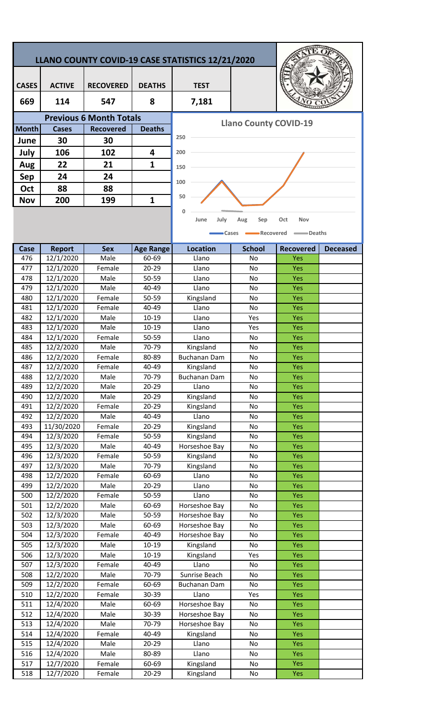## **LLANO COUNTY COVID-19 CASE STATISTICS 12/21/2020**

| <b>CASES</b> | <b>ACTIVE</b> | <b>RECOVERED</b> | <b>DEATHS</b> | <b>TEST</b> |  |
|--------------|---------------|------------------|---------------|-------------|--|
| 669          | 114           | 547              | 8             | 7,181       |  |
|              |               |                  |               |             |  |
| <b>Month</b> | Cases         | <b>Recovered</b> | <b>Deaths</b> |             |  |
| June         | 30            | 30               |               | 250         |  |
| July         | 106           | 102              | 4             | 200         |  |
| Aug          | 22            | 21               | 1             | 150         |  |
| Sep          | 24            | 24               |               | 100         |  |
| Oct          | 88            | 88               |               |             |  |
| <b>Nov</b>   | 200           | 199              | 1             | 50          |  |



**Llano County COVID-19** 



| Case | <b>Report</b>        | <b>Sex</b> | <b>Age Range</b>   | <b>Location</b>     | <b>School</b> | <b>Recovered</b> | <b>Deceased</b> |
|------|----------------------|------------|--------------------|---------------------|---------------|------------------|-----------------|
| 476  | 12/1/2020            | Male       | 60-69              | Llano               | No            | Yes              |                 |
| 477  | 12/1/2020            | Female     | $20 - 29$          | Llano               | No            | Yes              |                 |
| 478  | 12/1/2020            | Male       | 50-59              | Llano               | No            | Yes              |                 |
| 479  | 12/1/2020            | Male       | 40-49              | Llano               | No            | Yes              |                 |
| 480  | 12/1/2020            | Female     | $\overline{50-59}$ | Kingsland           | No            | Yes              |                 |
| 481  | 12/1/2020            | Female     | 40-49              | Llano               | No            | <b>Yes</b>       |                 |
| 482  | 12/1/2020            | Male       | $10 - 19$          | Llano               | Yes           | Yes              |                 |
| 483  | 12/1/2020            | Male       | $10 - 19$          | Llano               | Yes           | Yes              |                 |
| 484  | 12/1/2020            | Female     | 50-59              | Llano               | No            | Yes              |                 |
| 485  | $\frac{1}{2}/2/2020$ | Male       | 70-79              | Kingsland           | No            | <b>Yes</b>       |                 |
| 486  | 12/2/2020            | Female     | 80-89              | <b>Buchanan Dam</b> | No            | Yes              |                 |
| 487  | 12/2/2020            | Female     | 40-49              | Kingsland           | No            | Yes              |                 |
| 488  | 12/2/2020            | Male       | 70-79              | Buchanan Dam        | No            | <b>Yes</b>       |                 |
| 489  | 12/2/2020            | Male       | $20 - 29$          | Llano               | No            | Yes              |                 |
| 490  | 12/2/2020            | Male       | $20 - 29$          | Kingsland           | No            | Yes              |                 |
| 491  | 12/2/2020            | Female     | 20-29              | Kingsland           | No            | <b>Yes</b>       |                 |
| 492  | 12/2/2020            | Male       | 40-49              | Llano               | No            | Yes              |                 |
| 493  | 11/30/2020           | Female     | $20 - 29$          | Kingsland           | No            | Yes              |                 |
| 494  | 12/3/2020            | Female     | 50-59              | Kingsland           | No            | Yes              |                 |
| 495  | 12/3/2020            | Male       | 40-49              | Horseshoe Bay       | No            | <b>Yes</b>       |                 |
| 496  | 12/3/2020            | Female     | 50-59              | Kingsland           | No            | Yes              |                 |
| 497  | 12/3/2020            | Male       | 70-79              | Kingsland           | No            | Yes              |                 |
| 498  | 12/2/2020            | Female     | 60-69              | Llano               | No            | Yes              |                 |
| 499  | 12/2/2020            | Male       | $20 - 29$          | Llano               | No            | Yes              |                 |
| 500  | 12/2/2020            | Female     | 50-59              | Llano               | No            | Yes              |                 |
| 501  | 12/2/2020            | Male       | 60-69              | Horseshoe Bay       | No            | <b>Yes</b>       |                 |
| 502  | 12/3/2020            | Male       | 50-59              | Horseshoe Bay       | No            | <b>Yes</b>       |                 |
| 503  | 12/3/2020            | Male       | 60-69              | Horseshoe Bay       | No            | Yes              |                 |
| 504  | 12/3/2020            | Female     | 40-49              | Horseshoe Bay       | No            | Yes              |                 |
| 505  | 12/3/2020            | Male       | 10-19              | Kingsland           | No            | Yes              |                 |
| 506  | 12/3/2020            | Male       | $10 - 19$          | Kingsland           | Yes           | <b>Yes</b>       |                 |
| 507  | 12/3/2020            | Female     | 40-49              | Llano               | No            | Yes              |                 |
| 508  | 12/2/2020            | Male       | 70-79              | Sunrise Beach       | No            | <b>Yes</b>       |                 |
| 509  | 12/2/2020            | Female     | 60-69              | Buchanan Dam        | No            | <b>Yes</b>       |                 |
| 510  | 12/2/2020            | Female     | 30-39              | Llano               | Yes           | <b>Yes</b>       |                 |
| 511  | 12/4/2020            | Male       | 60-69              | Horseshoe Bay       | No            | Yes              |                 |
| 512  | 12/4/2020            | Male       | 30-39              | Horseshoe Bay       | No            | <b>Yes</b>       |                 |
| 513  | 12/4/2020            | Male       | 70-79              | Horseshoe Bay       | No            | <b>Yes</b>       |                 |
| 514  | 12/4/2020            | Female     | 40-49              | Kingsland           | No            | <b>Yes</b>       |                 |
| 515  | 12/4/2020            | Male       | 20-29              | Llano               | No            | <b>Yes</b>       |                 |
| 516  | 12/4/2020            | Male       | 80-89              | Llano               | No            | <b>Yes</b>       |                 |
| 517  | 12/7/2020            | Female     | 60-69              | Kingsland           | No            | <b>Yes</b>       |                 |
| 518  | 12/7/2020            | Female     | 20-29              | Kingsland           | No            | Yes              |                 |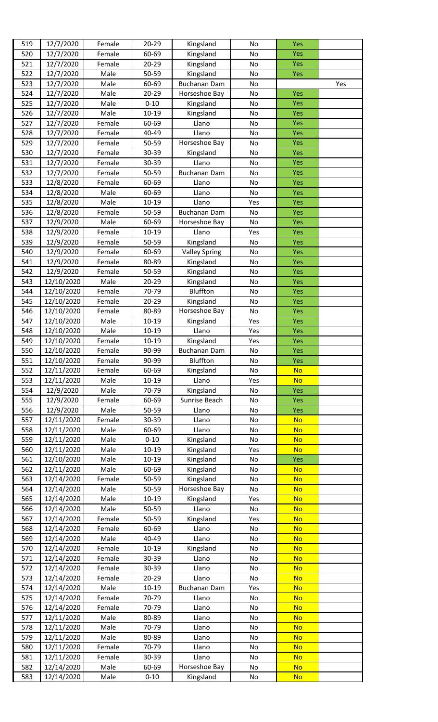| 519        | 12/7/2020                | Female           | $20 - 29$          | Kingsland                  | No         | Yes                    |     |
|------------|--------------------------|------------------|--------------------|----------------------------|------------|------------------------|-----|
| 520        | 12/7/2020                | Female           | 60-69              | Kingsland                  | No         | Yes                    |     |
| 521        | 12/7/2020                | Female           | 20-29              | Kingsland                  | No         | Yes                    |     |
| 522        | 12/7/2020                | Male             | 50-59              | Kingsland                  | No         | <b>Yes</b>             |     |
| 523        | 12/7/2020                | Male             | 60-69              | <b>Buchanan Dam</b>        | No         |                        | Yes |
| 524        | 12/7/2020                | Male             | $20 - 29$          | Horseshoe Bay              | No         | Yes                    |     |
| 525        | 12/7/2020                | Male             | $0 - 10$           | Kingsland                  | No         | Yes                    |     |
| 526        | 12/7/2020                | Male             | 10-19              | Kingsland                  | No         | <b>Yes</b>             |     |
| 527        | 12/7/2020                | Female           | 60-69              | Llano                      | No         | Yes                    |     |
| 528        | 12/7/2020                | Female           | 40-49              | Llano                      | No         | Yes                    |     |
| 529        | 12/7/2020                | Female           | 50-59              | Horseshoe Bay              | No         | Yes                    |     |
| 530        | 12/7/2020                | Female           | 30-39              | Kingsland                  | No         | Yes                    |     |
| 531        | 12/7/2020                | Female           | 30-39              | Llano                      | No         | Yes                    |     |
| 532        | 12/7/2020                | Female           | 50-59              | <b>Buchanan Dam</b>        | No         | Yes                    |     |
| 533        | 12/8/2020                | Female           | 60-69              | Llano                      | No         | Yes                    |     |
| 534        | 12/8/2020                | Male             | 60-69              | Llano                      | No         | Yes                    |     |
| 535        | 12/8/2020                | Male             | $10 - 19$          | Llano                      | Yes        | <b>Yes</b>             |     |
| 536        | 12/8/2020                | Female           | 50-59              | <b>Buchanan Dam</b>        | No         | Yes                    |     |
| 537        | 12/9/2020                | Male             | 60-69              | Horseshoe Bay              | No         | Yes                    |     |
| 538        | 12/9/2020                | Female           | 10-19              | Llano                      | Yes        | <b>Yes</b>             |     |
| 539        | 12/9/2020                | Female           | 50-59              | Kingsland                  | No         | <b>Yes</b>             |     |
| 540        | 12/9/2020                | Female           | 60-69              | <b>Valley Spring</b>       | No         | <b>Yes</b>             |     |
| 541        | 12/9/2020                | Female           | 80-89              | Kingsland                  | No         | Yes                    |     |
| 542        | 12/9/2020                | Female           | 50-59              | Kingsland                  | No         | Yes                    |     |
| 543        | 12/10/2020               | Male             | $20 - 29$          | Kingsland                  | No         | Yes                    |     |
| 544        | 12/10/2020               | Female           | 70-79              | Bluffton                   | No         | Yes                    |     |
| 545        | 12/10/2020               | Female           | $20 - 29$          | Kingsland<br>Horseshoe Bay | No         | <b>Yes</b>             |     |
| 546<br>547 | 12/10/2020<br>12/10/2020 | Female<br>Male   | 80-89<br>$10 - 19$ |                            | No         | <b>Yes</b>             |     |
| 548        | 12/10/2020               | Male             | 10-19              | Kingsland<br>Llano         | Yes<br>Yes | Yes<br>Yes             |     |
| 549        | 12/10/2020               | Female           | $10 - 19$          | Kingsland                  | Yes        | Yes                    |     |
| 550        | 12/10/2020               | Female           | 90-99              | Buchanan Dam               | No         | Yes                    |     |
| 551        | 12/10/2020               | Female           | 90-99              | Bluffton                   | No         | Yes                    |     |
| 552        | 12/11/2020               | Female           | 60-69              | Kingsland                  | No         | <b>No</b>              |     |
| 553        | 12/11/2020               | Male             | $10 - 19$          | Llano                      | Yes        | <b>No</b>              |     |
| 554        | 12/9/2020                | Male             | 70-79              | Kingsland                  | No         | <b>Yes</b>             |     |
| 555        | 12/9/2020                | Female           | 60-69              | Sunrise Beach              | No         | <b>Yes</b>             |     |
| 556        | 12/9/2020                | Male             | 50-59              | Llano                      | No         | Yes                    |     |
| 557        | 12/11/2020               | Female           | 30-39              | Llano                      | No         | <b>No</b>              |     |
| 558        | 12/11/2020               | Male             | 60-69              | Llano                      | No         | <b>No</b>              |     |
| 559        | 12/11/2020               | Male             | $0 - 10$           | Kingsland                  | No         | <b>No</b>              |     |
| 560        | 12/11/2020               | Male             | 10-19              | Kingsland                  | Yes        | <b>No</b>              |     |
| 561        | 12/10/2020               | Male             | 10-19              | Kingsland                  | No         | <b>Yes</b>             |     |
| 562        | 12/11/2020               | Male             | 60-69              | Kingsland                  | No         | <b>No</b>              |     |
| 563        | 12/14/2020               | Female           | 50-59              | Kingsland                  | No         | <b>No</b>              |     |
| 564        | 12/14/2020               | Male             | 50-59              | Horseshoe Bay              | No         | <b>No</b>              |     |
| 565        | 12/14/2020               | Male             | 10-19              | Kingsland                  | Yes        | <b>No</b>              |     |
| 566        | 12/14/2020               | Male             | 50-59              | Llano                      | No         | <b>No</b>              |     |
| 567        | 12/14/2020               | Female           | 50-59              | Kingsland                  | Yes        | <b>No</b>              |     |
| 568        | 12/14/2020               | Female           | 60-69              | Llano                      | No         | <b>No</b>              |     |
| 569        | 12/14/2020               | Male             | 40-49              | Llano                      | No         | <b>No</b>              |     |
| 570        | 12/14/2020               | Female           | 10-19              | Kingsland                  | No         | <b>No</b>              |     |
| 571        | 12/14/2020               | Female           | 30-39              | Llano                      | No         | <b>No</b>              |     |
| 572<br>573 | 12/14/2020<br>12/14/2020 | Female<br>Female | 30-39<br>$20 - 29$ | Llano<br>Llano             | No<br>No   | <b>No</b><br><b>No</b> |     |
| 574        | 12/14/2020               | Male             | $10 - 19$          | <b>Buchanan Dam</b>        | Yes        | <b>No</b>              |     |
| 575        | 12/14/2020               | Female           | 70-79              | Llano                      | No         | <b>No</b>              |     |
| 576        | 12/14/2020               | Female           | 70-79              | Llano                      | No         | <b>No</b>              |     |
| 577        | 12/11/2020               | Male             | 80-89              | Llano                      | No         | <b>No</b>              |     |
| 578        | 12/11/2020               | Male             | 70-79              | Llano                      | No         | <b>No</b>              |     |
| 579        | 12/11/2020               | Male             | 80-89              | Llano                      | No         | <b>No</b>              |     |
| 580        | 12/11/2020               | Female           | 70-79              | Llano                      | No         | <b>No</b>              |     |
| 581        | 12/11/2020               | Female           | 30-39              | Llano                      | No         | <b>No</b>              |     |
| 582        | 12/14/2020               | Male             | 60-69              | Horseshoe Bay              | No         | <b>No</b>              |     |
| 583        | 12/14/2020               | Male             | $0 - 10$           | Kingsland                  | No         | <b>No</b>              |     |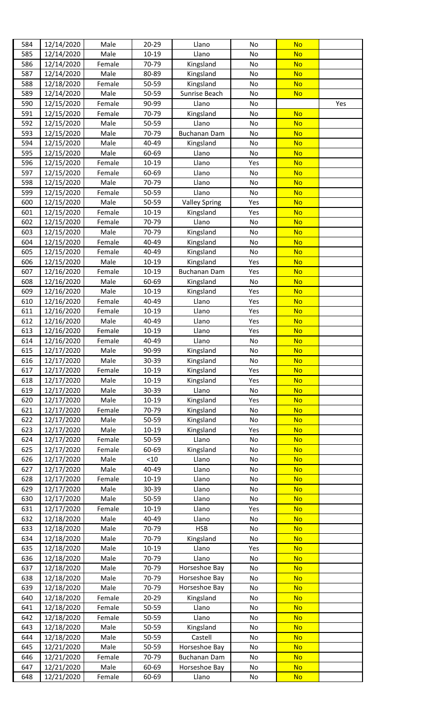| 584 | 12/14/2020 | Male   | $20 - 29$ | Llano                | No            | <b>No</b> |     |
|-----|------------|--------|-----------|----------------------|---------------|-----------|-----|
| 585 | 12/14/2020 | Male   | $10 - 19$ | Llano                | No            | <b>No</b> |     |
| 586 | 12/14/2020 | Female | 70-79     | Kingsland            | No            | <b>No</b> |     |
| 587 | 12/14/2020 | Male   | 80-89     | Kingsland            | No            | <b>No</b> |     |
| 588 | 12/18/2020 | Female | 50-59     | Kingsland            | No            | <b>No</b> |     |
| 589 |            | Male   | 50-59     |                      | No            |           |     |
|     | 12/14/2020 |        |           | Sunrise Beach        |               | <b>No</b> |     |
| 590 | 12/15/2020 | Female | 90-99     | Llano                | No            |           | Yes |
| 591 | 12/15/2020 | Female | 70-79     | Kingsland            | No            | <b>No</b> |     |
| 592 | 12/15/2020 | Male   | 50-59     | Llano                | No            | <b>No</b> |     |
| 593 | 12/15/2020 | Male   | 70-79     | Buchanan Dam         | No            | <b>No</b> |     |
| 594 | 12/15/2020 | Male   | 40-49     | Kingsland            | No            | <b>No</b> |     |
| 595 | 12/15/2020 | Male   | 60-69     | Llano                | No            | <b>No</b> |     |
| 596 | 12/15/2020 | Female | 10-19     | Llano                | Yes           | <b>No</b> |     |
| 597 | 12/15/2020 | Female | 60-69     | Llano                | No            | <b>No</b> |     |
| 598 | 12/15/2020 | Male   | 70-79     | Llano                | No            | <b>No</b> |     |
| 599 | 12/15/2020 | Female | 50-59     | Llano                | No            | <b>No</b> |     |
| 600 | 12/15/2020 | Male   | 50-59     | <b>Valley Spring</b> | Yes           | <b>No</b> |     |
| 601 | 12/15/2020 | Female | $10 - 19$ | Kingsland            | Yes           | <b>No</b> |     |
| 602 | 12/15/2020 | Female | 70-79     | Llano                | No            | <b>No</b> |     |
|     |            |        |           |                      |               |           |     |
| 603 | 12/15/2020 | Male   | 70-79     | Kingsland            | No            | <b>No</b> |     |
| 604 | 12/15/2020 | Female | 40-49     | Kingsland            | No            | <b>No</b> |     |
| 605 | 12/15/2020 | Female | 40-49     | Kingsland            | No            | <b>No</b> |     |
| 606 | 12/15/2020 | Male   | 10-19     | Kingsland            | Yes           | <b>No</b> |     |
| 607 | 12/16/2020 | Female | $10 - 19$ | Buchanan Dam         | Yes           | <b>No</b> |     |
| 608 | 12/16/2020 | Male   | 60-69     | Kingsland            | No            | <b>No</b> |     |
| 609 | 12/16/2020 | Male   | $10 - 19$ | Kingsland            | Yes           | <b>No</b> |     |
| 610 | 12/16/2020 | Female | 40-49     | Llano                | Yes           | <b>No</b> |     |
| 611 | 12/16/2020 | Female | $10 - 19$ | Llano                | Yes           | <b>No</b> |     |
| 612 | 12/16/2020 | Male   | 40-49     | Llano                | Yes           | <b>No</b> |     |
| 613 | 12/16/2020 | Female | $10 - 19$ | Llano                | Yes           | <b>No</b> |     |
| 614 | 12/16/2020 | Female | 40-49     | Llano                | No            | <b>No</b> |     |
| 615 | 12/17/2020 | Male   | 90-99     | Kingsland            | No            | <b>No</b> |     |
| 616 | 12/17/2020 | Male   | 30-39     | Kingsland            | No            | <b>No</b> |     |
| 617 | 12/17/2020 |        |           |                      |               |           |     |
|     |            | Female | 10-19     | Kingsland            | Yes           | <b>No</b> |     |
| 618 | 12/17/2020 | Male   | $10 - 19$ | Kingsland            | Yes           | <b>No</b> |     |
| 619 | 12/17/2020 | Male   | 30-39     | Llano                | No            | <b>No</b> |     |
| 620 | 12/17/2020 | Male   | $10 - 19$ | Kingsland            | Yes           | <b>No</b> |     |
| 621 | 12/17/2020 | Female | 70-79     | Kingsland            | No            | <b>No</b> |     |
| 622 | 12/17/2020 | Male   | 50-59     | Kingsland            | No            | <b>No</b> |     |
| 623 | 12/17/2020 | Male   | 10-19     | Kingsland            | Yes           | <b>No</b> |     |
| 624 | 12/17/2020 | Female | 50-59     | Llano                | No            | <b>No</b> |     |
| 625 | 12/17/2020 | Female | 60-69     | Kingsland            | No            | <b>No</b> |     |
| 626 | 12/17/2020 | Male   | < 10      | Llano                | No            | <b>No</b> |     |
| 627 | 12/17/2020 | Male   | 40-49     | Llano                | No            | <b>No</b> |     |
| 628 | 12/17/2020 | Female | $10 - 19$ | Llano                | No            | <b>No</b> |     |
| 629 | 12/17/2020 | Male   | 30-39     | Llano                | No            | <b>No</b> |     |
| 630 | 12/17/2020 | Male   | 50-59     | Llano                | No            | <b>No</b> |     |
| 631 | 12/17/2020 | Female | $10 - 19$ | Llano                | Yes           | <b>No</b> |     |
| 632 | 12/18/2020 | Male   | 40-49     | Llano                | No            | <b>No</b> |     |
| 633 | 12/18/2020 | Male   | 70-79     | <b>HSB</b>           | No            | <b>No</b> |     |
| 634 | 12/18/2020 | Male   | 70-79     | Kingsland            | No            | <b>No</b> |     |
| 635 | 12/18/2020 | Male   | $10 - 19$ | Llano                | Yes           | <b>No</b> |     |
|     |            |        |           |                      |               |           |     |
| 636 | 12/18/2020 | Male   | 70-79     | Llano                | No            | <b>No</b> |     |
| 637 | 12/18/2020 | Male   | 70-79     | Horseshoe Bay        | No            | <b>No</b> |     |
| 638 | 12/18/2020 | Male   | 70-79     | Horseshoe Bay        | No            | <b>No</b> |     |
| 639 | 12/18/2020 | Male   | 70-79     | Horseshoe Bay        | No            | <b>No</b> |     |
| 640 | 12/18/2020 | Female | $20 - 29$ | Kingsland            | No            | <b>No</b> |     |
| 641 | 12/18/2020 | Female | 50-59     | Llano                | No            | <b>No</b> |     |
| 642 | 12/18/2020 | Female | 50-59     | Llano                | No            | <b>No</b> |     |
| 643 | 12/18/2020 | Male   | 50-59     | Kingsland            | No            | <b>No</b> |     |
| 644 | 12/18/2020 | Male   | 50-59     | Castell              | No            | <b>No</b> |     |
| 645 | 12/21/2020 | Male   | 50-59     | Horseshoe Bay        | No            | <b>No</b> |     |
| 646 | 12/21/2020 | Female | 70-79     | Buchanan Dam         | No            | <b>No</b> |     |
| 647 | 12/21/2020 | Male   | 60-69     | Horseshoe Bay        | $\mathsf{No}$ | <b>No</b> |     |
| 648 | 12/21/2020 | Female | 60-69     | Llano                | No            | <b>No</b> |     |
|     |            |        |           |                      |               |           |     |